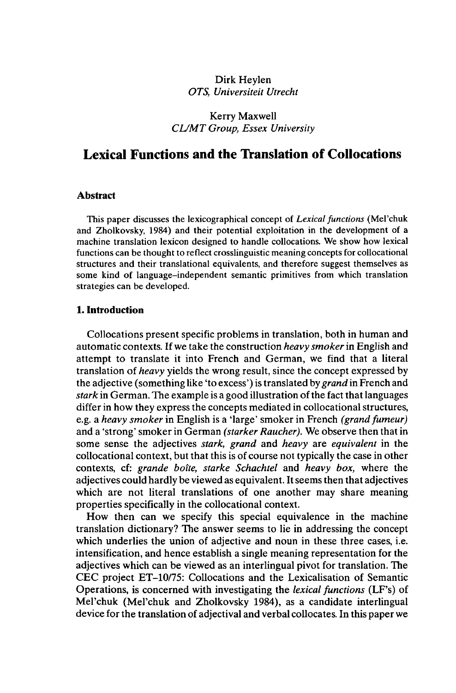## Dirk Heylen *OTS, Universiteit Utrecht*

## Kerry Maxwell *CL/MT Group, Essex University*

# **Lexical Functions and the Translation of Collocations**

## **Abstract**

This paper discusses the lexicographical concept of *Lexicalfunctions* (Mel'chuk and Zholkovsky, 1984) and their potential exploitation in the development of a machine translation lexicon designed to handle collocations. We show how lexical functions can be thought to reflect crosslinguistic meaning concepts for collocational structures and their translational equivalents, and therefore suggest themselves as some kind of language-independent semantic primitives from which translation strategies can be developed.

### **1. Introduction**

Collocations present specific problems in translation, both in human and automatic contexts. If we take the construction *heavy smoker*in English and attempt to translate it into French and German, we find that a literal translation of *heavy* yields the wrong result, since the concept expressed by the adjective (something like 'to excess') is translated by *grand* in French and *stark* in German. The example is a good illustration of the fact that languages differ in how they express the concepts mediated in collocational structures, e.g. a *heavy smoker* in English is a 'large' smoker in French *(grand fumeur)* and a 'strong' smoker in German *(starker Raucher).* We observe then that in some sense the adjectives *stark, grand* and *heavy* are *equivalent* in the collocational context, but that this is of course not typically the case in other contexts, cf: *grande boîte, starke Schachtel* and *heavy box,* where the adjectives could hardly be viewed as equivalent. Itseems then that adjectives which are not literal translations of one another may share meaning properties specifically in the collocational context.

How then can we specify this special equivalence in the machine translation dictionary? The answer seems to lie in addressing the concept which underlies the union of adjective and noun in these three cases, *i.e.* intensification, and hence establish a single meaning representation for the adjectives which can be viewed as an interlingual pivot for translation. The CEC project ET-10/75: Collocations and the Lexicalisation of Semantic Operations, is concerned with investigating the *lexical functions* (LF's) of Mel'chuk (Mel'chuk and Zholkovsky 1984), as a candidate interlingual device for the translation of adjectival and verbal collocates. In this paper we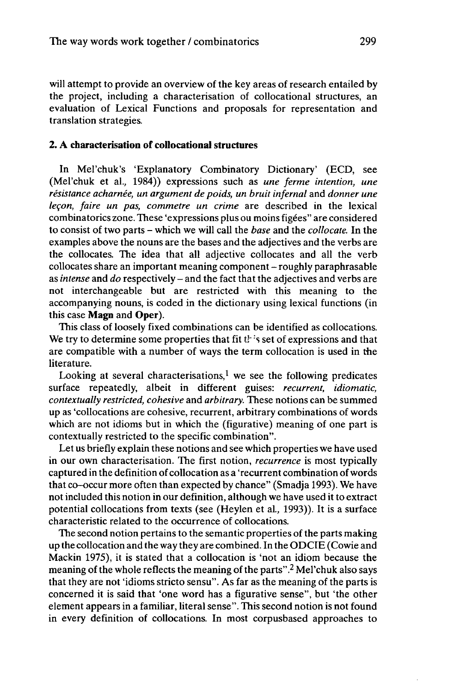will attempt to provide an overview of the key areas of research entailed by the project, including a characterisation of collocational structures, an evaluation of Lexical Functions and proposals for representation and translation strategies.

## **2. A characterisation of collocational structures**

In Mel'chuk's 'Explanatory Combinatory Dictionary' (ECD, see (Mel'chuk et al., 1984)) expressions such as *une ferme intention, une résistance acharnée, un argument de poids, un bruit infernal* and *donner une leçon, faire un pas, commetre un crime* are described in the lexical combinatorics zone. These 'expressions plus ou moins figées" are considered to consist of two parts - which we will call the *base* and the *collocate.* In the examples above the nouns are the bases and the adjectives and the verbs are the collocates. The idea that all adjective collocates and all the verb collocates share an important meaning component-roughly paraphrasable as *intense* and *do* respectively - and the fact that the adjectives and verbs are not interchangeable but are restricted with this meaning to the accompanying nouns, is coded in the dictionary using lexical functions (in this case **Magn** and **Oper).**

This class of loosely fixed combinations can be identified as collocations. We try to determine some properties that fit  $t<sup>1</sup>$  is set of expressions and that are compatible with a number of ways the term collocation is used in the literature.

Looking at several characterisations,<sup>1</sup> we see the following predicates surface repeatedly, albeit in different guises: *recurrent, idiomatic, contextually restricted, cohesive* and *arbitrary.* These notions can be summed up as 'collocations are cohesive, recurrent, arbitrary combinations of words which are not idioms but in which the (figurative) meaning of one part is contextually restricted to the specific combination".

Let us briefly explain these notions and see which properties we have used in our own characterisation. The first notion, *recurrence* is most typically captured in the definition of collocation as a 'recurrent combination ofwords that co-occur more often than expected by chance" (Smadja 1993). We have notincluded this notion in our definition, although we have used it to extract potential collocations from texts (see (Heylen et al., 1993)). It is a surface characteristic related to the occurrence of collocations.

The second notion pertains to the semantic properties of the parts making up the collocation and the way they are combined. In the ODCIE (Cowie and Mackin 1975), it is stated that a collocation is 'not an idiom because the meaning of the whole reflects the meaning of the parts".<sup>2</sup> Mel'chuk also says that they are not 'idioms stricto sensu". As far as the meaning of the parts is concerned it is said that 'one word has a figurative sense", but 'the other element appears in a familiar, literal sense". This second notion is not found in every definition of collocations. In most corpusbased approaches to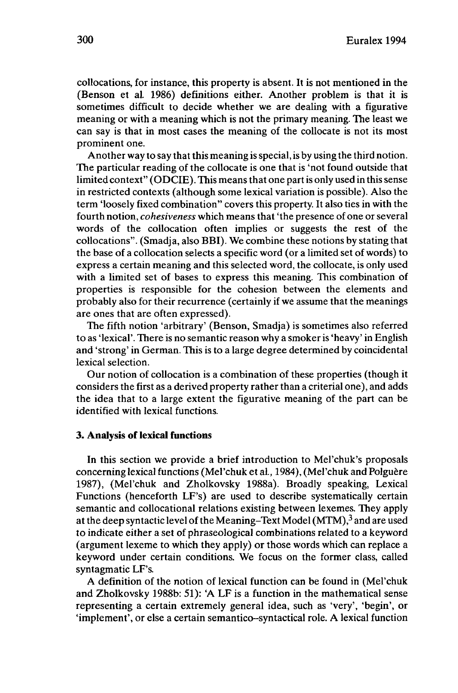collocations, for instance, this property is absent. It is not mentioned in the (Benson et al. 1986) definitions either. Another problem is that it is sometimes difficult to decide whether we are dealing with a figurative meaning or with a meaning which is not the primary meaning. The least we can say is that in most cases the meaning of the collocate is not its most prominent one.

Another way to say that this meaning is special, is by using the third notion. The particular reading of the collocate is one that is 'not found outside that limited context" (ODCIE). This means that one part is only used in this sense in restricted contexts (although some lexical variation is possible). Also the term 'loosely fixed combination" covers this property. It also ties in with the fourth notion, *cohesiveness* which meansthat 'the presence of one orseveral words of the collocation often implies or suggests the rest of the collocations". (Smadja, also BBI). We combine these notions by stating that the base of a collocation selects a specific word (or a limited set of words) to express a certain meaning and this selected word, the collocate, is only used with a limited set of bases to express this meaning. This combination of properties is responsible for the cohesion between the elements and probably also for their recurrence (certainly if we assume that the meanings are ones that are often expressed).

The fifth notion 'arbitrary' (Benson, Smadja) is sometimes also referred to as 'lexical'. There is no semantic reason why a smoker is 'heavy' in English and 'strong' in German. This is to a large degree determined by coincidental lexical selection.

Our notion of collocation is a combination of these properties (though it considers the first as a derived property rather than a criterial one), and adds the idea that to a large extent the figurative meaning of the part can be identified with lexical functions.

#### **3. Analysis of lexical functions**

In this section we provide a brief introduction to Mel'chuk's proposals concerning lexical functions (Mel'chuk et al., 1984), (Mel'chuk and Polguère 1987), (Mel'chuk and Zholkovsky 1988a). Broadly speaking, Lexical Functions (henceforth LF's) are used to describe systematically certain semantic and collocational relations existing between lexemes. They apply at the deep syntactic level of the Meaning–Text Model (MTM),<sup>3</sup> and are used to indicate either a set of phraseological combinations related to a keyword (argument lexeme to which they apply) or those words which can replace a keyword under certain conditions. We focus on the former class, called syntagmatic LF's.

A definition of the notion of lexical function can be found in (Mel'chuk and Zholkovsky 1988b: 51): 'A LF is a function in the mathematical sense representing a certain extremely general idea, such as 'very', 'begin', or 'implement', or else a certain semantico-syntactical role. A lexical function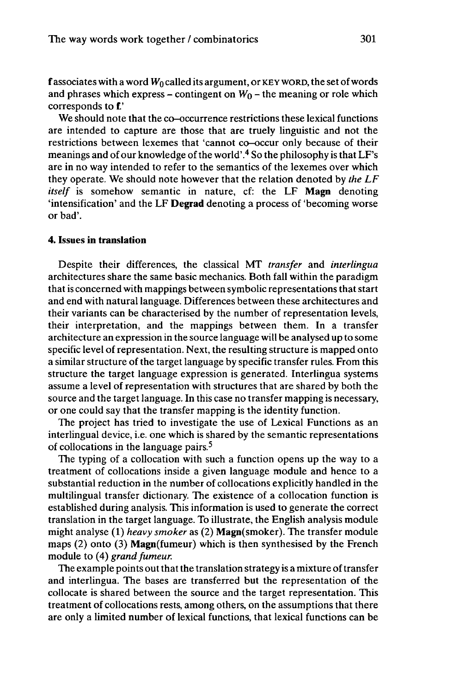f associates with a word  $W_0$  called its argument, or KEY WORD, the set of words and phrases which express – contingent on  $W_0$  – the meaning or role which corresponds to £'

We should note that the co-occurrence restrictions these lexical functions are intended to capture are those that are truely linguistic and not the restrictions between lexemes that 'cannot co-occur only because of their meanings and of our knowledge of the world'.<sup>4</sup> So the philosophy is that LF's are in no way intended to refer to the semantics of the lexemes over which they operate. We should note however that the relation denoted by *the LF itself* is somehow semantic in nature, cf: the LF **Magn** denoting 'intensification' and the LF **Degrad** denoting a process of 'becoming worse or bad'.

## **4. Issues in translation**

Despite their differences, the classical MT *transfer* and *interlingua* architectures share the same basic mechanics. Both fall within the paradigm that is concerned with mappings between symbolic representations that start and end with natural language. Differences between these architectures and their variants can be characterised by the number of representation levels, their interpretation, and the mappings between them. In a transfer architecture an expression in the source language will be analysed up to some specific level of representation. Next, the resulting structure is mapped onto a similar structure of the target language by specific transfer rules. From this structure the target language expression is generated. Interlingua systems assume a level of representation with structures that are shared by both the source and the target language. In this case no transfer mapping is necessary, or one could say that the transfer mapping is the identity function.

The project has tried to investigate the use of Lexical Functions as an interlingual device, i.e. one which is shared by the semantic representations of collocations in the language pairs.<sup>5</sup>

The typing of a collocation with such a function opens up the way to a treatment of collocations inside a given language module and hence to a substantial reduction in the number of collocations explicitly handled in the multilingual transfer dictionary. The existence of a collocation function is established during analysis. This information is used to generate the correct translation in the target language. To illustrate, the English analysis module might analyse (1) *heavy smoker* as (2) Magn(smoker). The transfer module maps (2) onto (3) Magn(fumeur) which is then synthesised by the French module to (4) *grand fumeur.*

The example points out that the translation strategy is a mixture of transfer and interlingua. The bases are transferred but the representation of the collocate is shared between the source and the target representation. This treatment of collocations rests, among others, on the assumptions that there are only a limited number of lexical functions, that lexical functions can be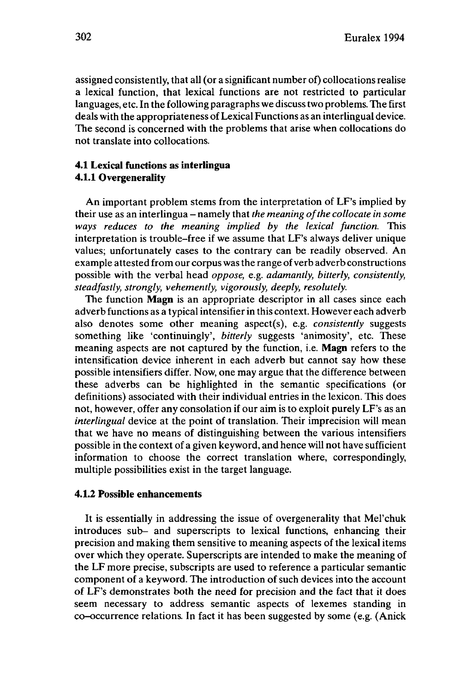assigned consistently, that all (or a significant number of) collocationsrealise a lexical function, that lexical functions are not restricted to particular languages, etc. In the following paragraphs we discusstwo problems. The first deals with the appropriateness of Lexical Functions as an interlingual device. The second is concerned with the problems that arise when collocations do not translate into collocations.

## **4.1 Lexical functions as interlingua 4.1.1 Overgenerality**

An important problem stems from the interpretation of LF's implied by their use as an interlingua - namely that *the meaning ofthe collocate in some ways reduces to the meaning implied by the lexical function.* This interpretation is trouble-free if we assume that LF's always deliver unique values; unfortunately cases to the contrary can be readily observed. An example attested from our corpus was the range of verb adverb constructions possible with the verbal head *oppose,* e.g. *adamantly, bitterly, consistently, steadfastly, strongly, vehemently, vigorously, deeply, resolutely.*

The function **Magn** is an appropriate descriptor in all cases since each adverb functions as a typical intensifier in this context. However each adverb also denotes some other meaning aspect(s), e.g. *consistently* suggests something like 'continuingly', *bitterly* suggests 'animosity', etc. These meaning aspects are not captured by the function, i.e. **Magn** refers to the intensification device inherent in each adverb but cannot say how these possible intensifiers differ. Now, one may argue that the difference between these adverbs can be highlighted in the semantic specifications (or definitions) associated with their individual entries in the lexicon. This does not, however, offer any consolation if our aim is to exploit purely LF's as an *interlingual* device at the point of translation. Their imprecision will mean that we have no means of distinguishing between the various intensifiers possible in the context of a given keyword, and hence will not have sufficient information to choose the correct translation where, correspondingly, multiple possibilities exist in the target language.

## **4.1.2 Possible enhancements**

It is essentially in addressing the issue of overgenerality that Mel'chuk introduces sub- and superscripts to lexical functions, enhancing their precision and making them sensitive to meaning aspects of the lexical items over which they operate. Superscripts are intended to make the meaning of the LF more precise, subscripts are used to reference a particular semantic component of a keyword. The introduction of such devices into the account of LF's demonstrates both the need for precision and the fact that it does seem necessary to address semantic aspects of lexemes standing in co-occurrence relations. In fact it has been suggested by some (e.g. (Anick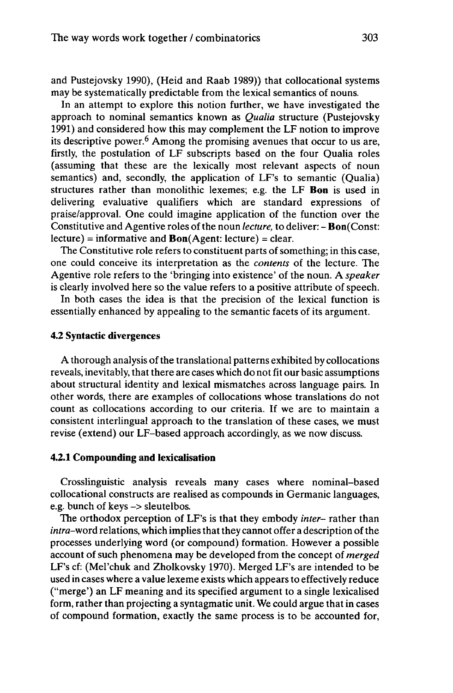and Pustejovsky 1990), (Heid and Raab 1989)) that collocational systems may be systematically predictable from the lexical semantics of nouns.

In an attempt to explore this notion further, we have investigated the approach to nominal semantics known as *Qualia* structure (Pustejovsky 1991) and considered how this may complement the LF notion to improve its descriptive power.<sup>6</sup> Among the promising avenues that occur to us are, firstly, the postulation of LF subscripts based on the four Qualia roles (assuming that these are the lexically most relevant aspects of noun semantics) and, secondly, the application of LF's to semantic (Qualia) structures rather than monolithic lexemes; e.g. the LF **Bon** is used in delivering evaluative qualifiers which are standard expressions of praise/approval. One could imagine application of the function over the Constitutive and Agentive roles ofthe noun *lecture,* to deliver: - Bon(Const:  $lecture) = informative and Bon(Agent: lecture) = clear.$ 

The Constitutive role refers to constituent parts of something; in this case, one could conceive its interpretation as the *contents* of the lecture. The Agentive role refers to the 'bringing into existence' of the noun. A *speaker* is clearly involved here so the value refers to a positive attribute of speech.

In both cases the idea is that the precision of the lexical function is essentially enhanced by appealing to the semantic facets of its argument.

### **4.2 Syntactic divergences**

A thorough analysis of the translational patterns exhibited by collocations reveals, inevitably, that there are cases which do not fit our basic assumptions about structural identity and lexical mismatches across language pairs. In other words, there are examples of collocations whose translations do not count as collocations according to our criteria. If we are to maintain a consistent interlingual approach to the translation of these cases, we must revise (extend) our LF-based approach accordingly, as we now discuss.

### **4.2.1 Compounding and lexicalisation**

Crosslinguistic analysis reveals many cases where nominal-based collocational constructs are realised as compounds in Germanic languages, e.g. bunch of keys -> sleutelbos.

The orthodox perception of LF's is that they embody *inter-* rather than *intra*-word relations, which implies that they cannot offer a description of the processes underlying word (or compound) formation. However a possible account of such phenomena may be developed from the concept of *merged* LF's cf: (Mel'chuk and Zholkovsky 1970). Merged LF's are intended to be used in cases where a value lexeme exists which appears to effectively reduce ("merge') an LF meaning and its specified argument to a single lexicalised form, rather than projecting a syntagmatic unit. We could argue that in cases of compound formation, exactly the same process is to be accounted for,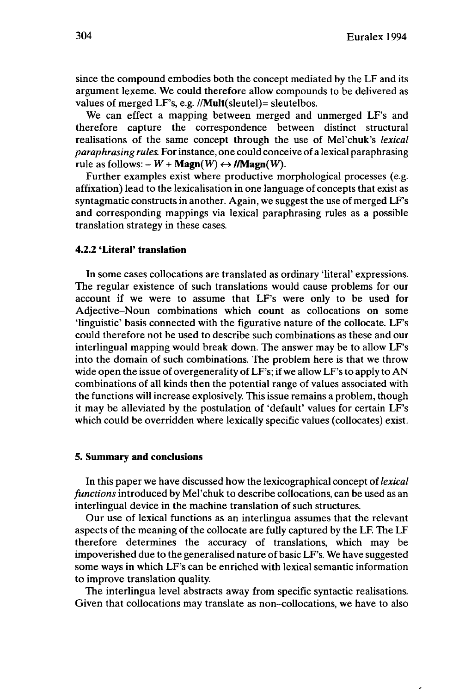since the compound embodies both the concept mediated by the LF and its argument lexeme. We could therefore allow compounds to be delivered as values of merged LF's, e.g. //**Mult**(sleutel)= sleutelbos.

We can effect a mapping between merged and unmerged LF's and therefore capture the correspondence between distinct structural realisations of the same concept through the use of Mel'chuk's *lexical paraphrasing rules.* Forinstance, one could conceive of a lexical paraphrasing rule as follows:  $-W + \text{Magn}(W) \leftrightarrow //\text{Magn}(W)$ .

Further examples exist where productive morphological processes (e.g. affixation) lead to the lexicalisation in one language of concepts that exist as syntagmatic constructs in another. Again, we suggest the use of merged LF's and corresponding mappings via lexical paraphrasing rules as a possible translation strategy in these cases.

## **4.2.2 'Literal' translation**

In some cases collocations are translated as ordinary 'literal' expressions. The regular existence of such translations would cause problems for our account if we were to assume that LF's were only to be used for Adjective-Noun combinations which count as collocations on some 'linguistic' basis connected with the figurative nature of the collocate. LF's could therefore not be used to describe such combinations as these and our interlingual mapping would break down. The answer may be to allow LF's into the domain of such combinations. The problem here is that we throw wide open the issue of overgenerality of LF's; if we allow LF's to apply to AN combinations of all kinds then the potential range of values associated with the functions will increase explosively. This issue remains a problem, though it may be alleviated by the postulation of 'default' values for certain LF's which could be overridden where lexically specific values (collocates) exist.

#### **5. Summary and conclusions**

In this paper we have discussed how the lexicographical concept of*lexical functions* introduced by Mel'chuk to describe collocations, can be used as an interlingual device in the machine translation of such structures.

Our use of lexical functions as an interlingua assumes that the relevant aspects of the meaning of the collocate are fully captured by the LF. The LF therefore determines the accuracy of translations, which may be impoverished due to the generalised nature of basic LF's. We have suggested some ways in which LF's can be enriched with lexical semantic information to improve translation quality.

The interlingua level abstracts away from specific syntactic realisations. Given that collocations may translate as non-collocations, we have to also